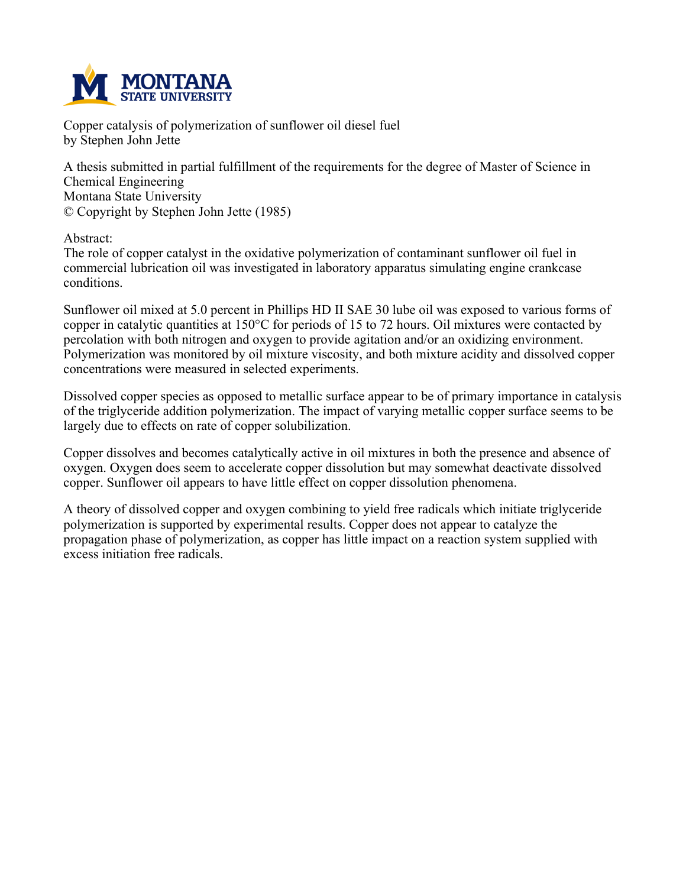

**Copper catalysis of polymerization of sunflower oil diesel fuel by Stephen John Jette**

**A thesis submitted in partial fulfillment of the requirements for the degree of Master of Science in Chemical Engineering Montana State University © Copyright by Stephen John Jette (1985)**

**Abstract:**

**The role of copper catalyst in the oxidative polymerization of contaminant sunflower oil fuel in commercial lubrication oil was investigated in laboratory apparatus simulating engine crankcase conditions.**

Sunflower oil mixed at 5.0 percent in Phillips HD II SAE 30 lube oil was exposed to various forms of copper in catalytic quantities at 150°C for periods of 15 to 72 hours. Oil mixtures were contacted by **percolation with both nitrogen and oxygen to provide agitation and/or an oxidizing environment. Polymerization was monitored by oil mixture viscosity, and both mixture acidity and dissolved copper concentrations were measured in selected experiments.**

**Dissolved copper species as opposed to metallic surface appear to be of primary importance in catalysis of the triglyceride addition polymerization. The impact of varying metallic copper surface seems to be largely due to effects on rate of copper solubilization.**

**Copper dissolves and becomes catalytically active in oil mixtures in both the presence and absence of oxygen. Oxygen does seem to accelerate copper dissolution but may somewhat deactivate dissolved copper. Sunflower oil appears to have little effect on copper dissolution phenomena.**

**A theory of dissolved copper and oxygen combining to yield free radicals which initiate triglyceride polymerization is supported by experimental results. Copper does not appear to catalyze the propagation phase of polymerization, as copper has little impact on a reaction system supplied with excess initiation free radicals.**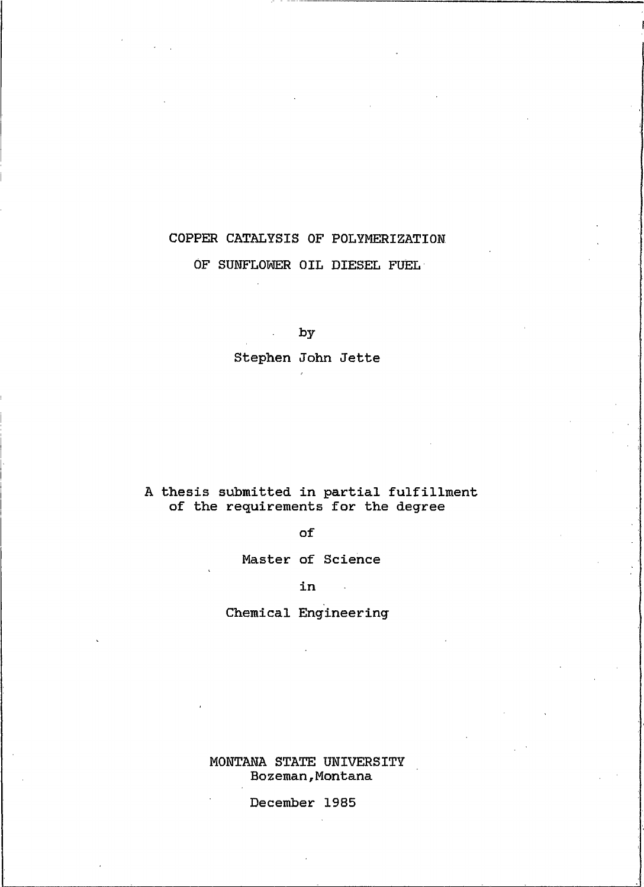# COPPER CATALYSIS OF POLYMERIZATION OF SUNFLOWER OIL DIESEL FUEL

by

Stephen John Jette

# A thesis submitted in partial fulfillment<br>of the requirements for the degree

#### of

Master of Science

in

 $\mathcal{L}_{\text{max}}$ 

Chemical Engineering

MONTANA STATE UNIVERSITY Bozeman, Montana

December 1985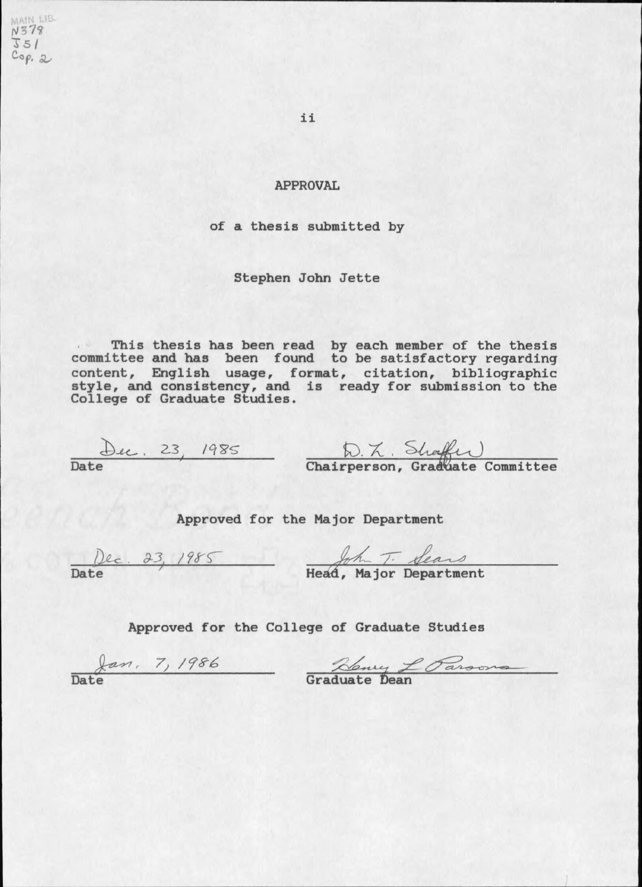MAIN LIB.<br>N378  $J51$  $Cop.$  2

ii

#### **APPROVAL**

#### of a thesis submitted by

#### Stephen John Jette

This thesis has been read by each member of the thesis<br>committee and has been found to be satisfactory regarding<br>content, English usage, format, citation, bibliographic<br>style, and consistency, and is ready for submission t

Duc. 23, 1985 D. K. Shaffer<br>Date Chairperson, Graduate Committee

Approved for the Major Department

Dec. 23, 1985 Head, Major Department

Approved for the College of Graduate Studies

Jan. 7, 1986 Rény L Parsons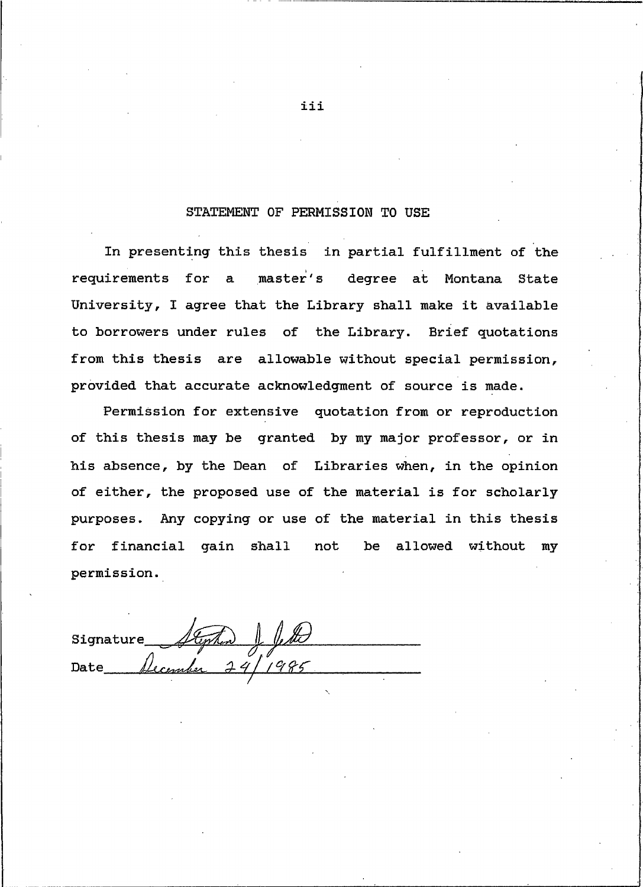### STATEMENT OF PERMISSION TO USE

<span id="page-3-0"></span>In presenting this thesis in partial fulfillment of the requirements for a master's degree at Montana State University, I agree that the Library shall make it available to borrowers under rules of the Library. Brief quotations from this thesis are allowable without special permission, provided that accurate acknowledgment of source is made.

Permission for extensive quotation from or reproduction of this thesis may be granted by my major professor, or in his absence, by the Dean of Libraries when, in the opinion of either, the proposed use of the material is for scholarly purposes. Any copying or use of the material in this thesis for financial gain shall not be allowed without my permission.

Signature Date

iii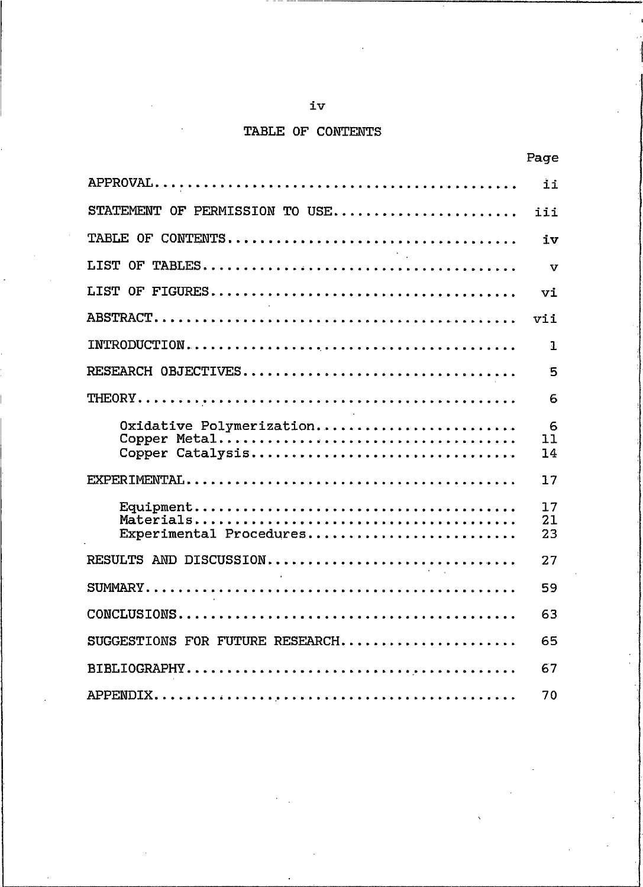## iv

# TABLE OF CONTENTS

|                                              | Page           |  |  |
|----------------------------------------------|----------------|--|--|
|                                              | ii             |  |  |
| STATEMENT OF PERMISSION TO USE               | iii            |  |  |
|                                              | iv             |  |  |
|                                              | $\mathbf{v}$   |  |  |
|                                              | vi             |  |  |
|                                              | vii            |  |  |
|                                              | З.             |  |  |
| RESEARCH OBJECTIVES                          | 5              |  |  |
|                                              | 6              |  |  |
| Oxidative Polymerization<br>Copper Catalysis | 6<br>11<br>14  |  |  |
|                                              | 17             |  |  |
| Experimental Procedures                      | 17<br>21<br>23 |  |  |
| RESULTS AND DISCUSSION                       | 27             |  |  |
|                                              | 59             |  |  |
|                                              | 63             |  |  |
| SUGGESTIONS FOR FUTURE RESEARCH              | 65             |  |  |
|                                              |                |  |  |
|                                              | 70             |  |  |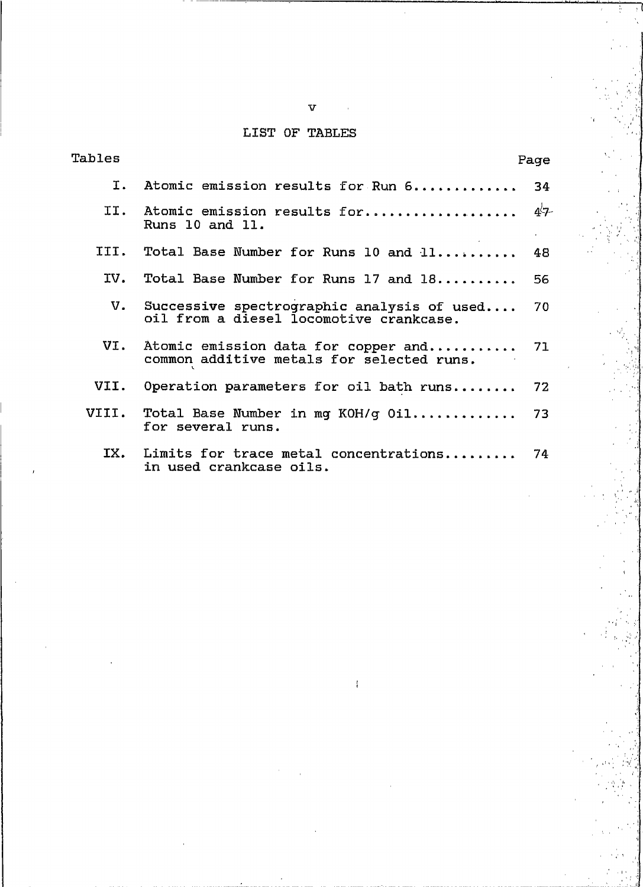# LIST OF TABLES

| Tables |                                                                                          | Page                               |
|--------|------------------------------------------------------------------------------------------|------------------------------------|
|        | I. Atomic emission results for Run 6                                                     | 34                                 |
| TT.    | Atomic emission results for<br>Runs 10 and 11.                                           | $47-$<br>$\mathbf{a} = \mathbf{a}$ |
| TTT.   | Total Base Number for Runs 10 and 11                                                     | - 48                               |
| IV.    | Total Base Number for Runs 17 and 18                                                     | 56                                 |
|        | V. Successive spectrographic analysis of used<br>oil from a diesel locomotive crankcase. | 70                                 |
|        | VI. Atomic emission data for copper and<br>common additive metals for selected runs.     | 71                                 |
| VII.   | Operation parameters for oil bath runs                                                   | 72                                 |
| VIII.  | Total Base Number in mg KOH/g Oil 73<br>for several runs.                                |                                    |
|        | IX. Limits for trace metal concentrations<br>in used crankcase oils.                     | 74                                 |

 $\bar{f}$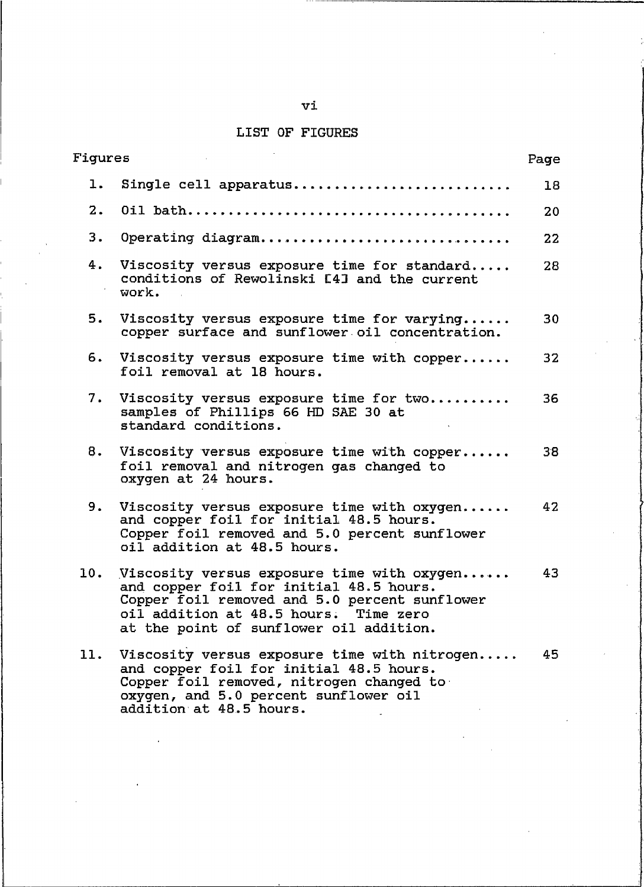# LIST OF FIGURES

| Figures |                                                                                                                                                                                                                               | Page |
|---------|-------------------------------------------------------------------------------------------------------------------------------------------------------------------------------------------------------------------------------|------|
| ı.      | Single cell apparatus                                                                                                                                                                                                         | 18   |
| 2.      |                                                                                                                                                                                                                               | 20   |
| 3.      | Operating diagram                                                                                                                                                                                                             | 22   |
| 4.      | Viscosity versus exposure time for standard<br>conditions of Rewolinski [4] and the current<br>work.                                                                                                                          | 28   |
| 5.      | Viscosity versus exposure time for varying<br>copper surface and sunflower oil concentration.                                                                                                                                 | 30   |
| 6.      | Viscosity versus exposure time with copper<br>foil removal at 18 hours.                                                                                                                                                       | 32   |
| 7.      | Viscosity versus exposure time for two<br>samples of Phillips 66 HD SAE 30 at<br>standard conditions.                                                                                                                         | 36   |
| 8.      | Viscosity versus exposure time with copper<br>foil removal and nitrogen gas changed to<br>oxygen at 24 hours.                                                                                                                 | 38   |
| 9.      | Viscosity versus exposure time with oxygen<br>and copper foil for initial 48.5 hours.<br>Copper foil removed and 5.0 percent sunflower<br>oil addition at 48.5 hours.                                                         | 42   |
| 10.     | Viscosity versus exposure time with oxygen<br>and copper foil for initial 48.5 hours.<br>Copper foil removed and 5.0 percent sunflower<br>oil addition at 48.5 hours.<br>Time zero<br>at the point of sunflower oil addition. | 43   |
| 11.     | Viscosity versus exposure time with nitrogen<br>and copper foil for initial 48.5 hours.<br>Copper foil removed, nitrogen changed to<br>oxygen, and 5.0 percent sunflower oil<br>addition at 48.5 hours.                       | 45   |

vi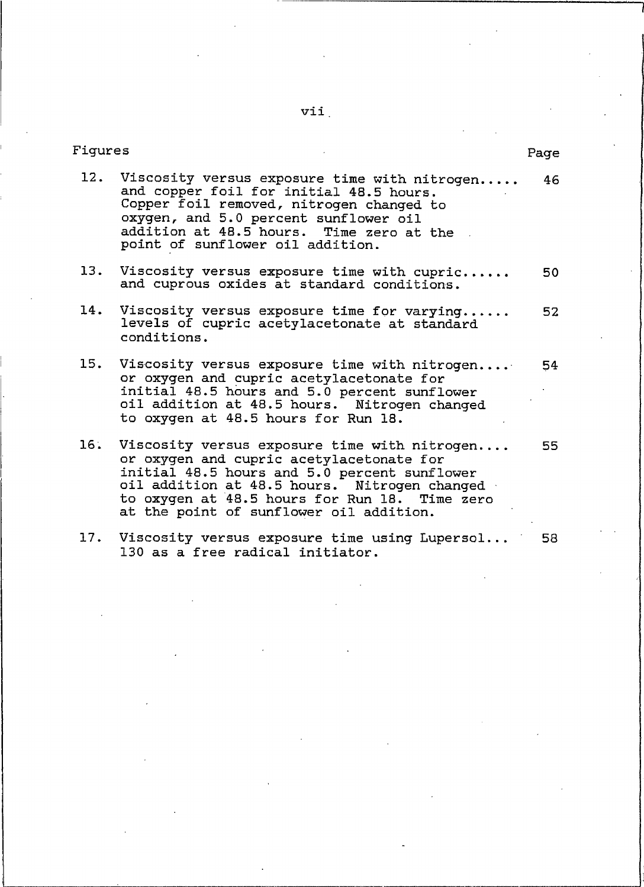vii.

| Figures |                                                                                                                                                                                                                                                                                      | Page |
|---------|--------------------------------------------------------------------------------------------------------------------------------------------------------------------------------------------------------------------------------------------------------------------------------------|------|
|         | 12. Viscosity versus exposure time with nitrogen<br>and copper foil for initial 48.5 hours.<br>Copper foil removed, nitrogen changed to<br>oxygen, and 5.0 percent sunflower oil<br>addition at 48.5 hours. Time zero at the<br>point of sunflower oil addition.                     | 46.  |
| 13.     | Viscosity versus exposure time with cupric<br>and cuprous oxides at standard conditions.                                                                                                                                                                                             | 50   |
| 14.     | Viscosity versus exposure time for varying<br>levels of cupric acetylacetonate at standard<br>conditions.                                                                                                                                                                            | 52   |
| 15.     | Viscosity versus exposure time with nitrogen<br>or oxygen and cupric acetylacetonate for<br>initial 48.5 hours and 5.0 percent sunflower<br>oil addition at 48.5 hours. Nitrogen changed<br>to oxygen at 48.5 hours for Run 18.                                                      | 54   |
| 16.     | Viscosity versus exposure time with nitrogen<br>or oxygen and cupric acetylacetonate for<br>initial 48.5 hours and 5.0 percent sunflower<br>oil addition at 48.5 hours. Nitrogen changed<br>to oxygen at 48.5 hours for Run 18. Time zero<br>at the point of sunflower oil addition. | 55   |
|         | 17. Viscosity versus exposure time using Lupersol<br>130 as a free radical initiator.                                                                                                                                                                                                | 58   |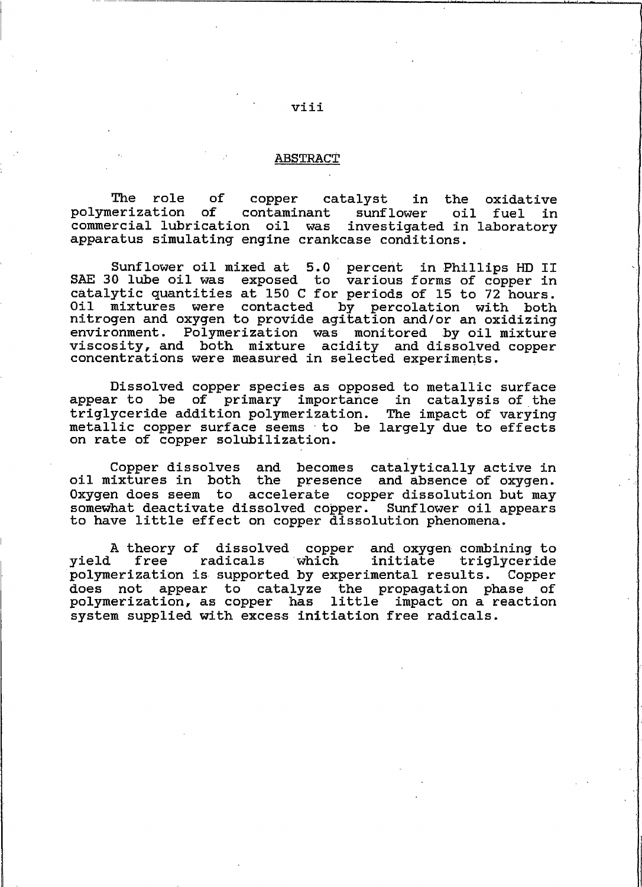#### **ABSTRACT**

The role of copper catalyst in the oxidative polymerization of oil contaminant sunflower fuel in commercial lubrication oil was investigated in laboratory apparatus simulating engine crankcase conditions.

Sunflower oil mixed at 5.0 percent in Phillips HD II SAE 30 lube oil was exposed to various forms of copper in catalytic quantities at 150 C for periods of 15 to 72 hours. Oil mixtures were contacted by percolation with both nitrogen and oxygen to provide agitation and/or an oxidizing environment. Polymerization was monitored by oil mixture viscosity, and both mixture acidity and dissolved copper concentrations were measured in selected experiments.

Dissolved copper species as opposed to metallic surface appear to be of primary importance in catalysis of the triglyceride addition polymerization. The impact of varying metallic copper surface seems to be largely due to effects on rate of copper solubilization.

and becomes catalytically active in Copper dissolves oil mixtures in both the presence and absence of oxygen. Oxygen does seem to accelerate copper dissolution but may somewhat deactivate dissolved copper. Sunflower oil appears to have little effect on copper dissolution phenomena.

A theory of dissolved copper and oxygen combining to yield free radicals which initiate triglyceride polymerization is supported by experimental results. Copper does not appear to catalyze the propagation phase of polymerization, as copper has little impact on a reaction system supplied with excess initiation free radicals.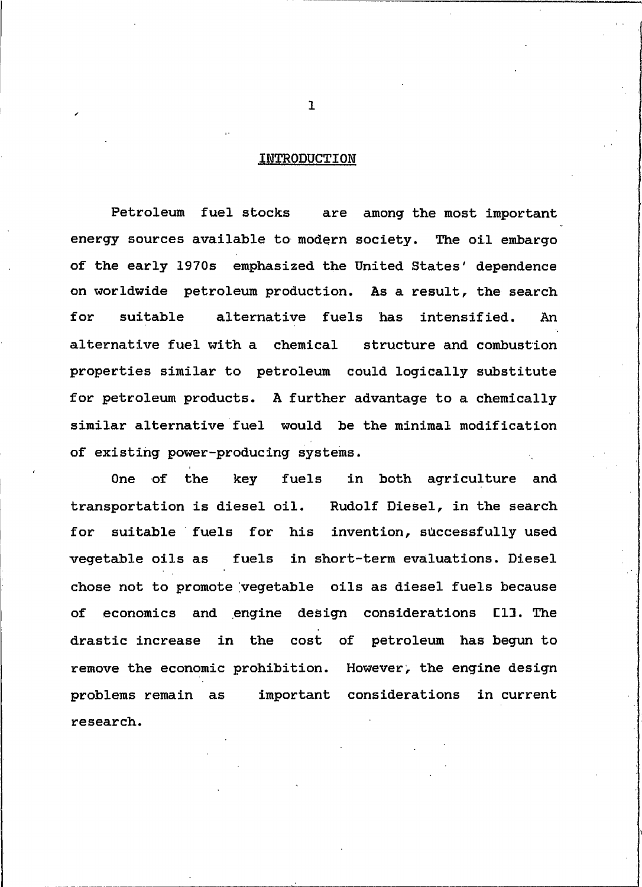#### <span id="page-9-0"></span>INTRODUCTION

Petroleum fuel stocks are among the most important energy sources available to modern society. The oil embargo of the early 1970s emphasized the United States' dependence on worldwide petroleum production. As a result, the search for suitable alternative fuels has intensified. An alternative fuel with a chemical structure and combustion properties similar to petroleum could logically substitute for petroleum products. A further advantage to a chemically similar alternative fuel would be the minimal modification of existing power-producing systems.

in both agriculture and One of the key fuels transportation is diesel oil. Rudolf Diesel, in the search for suitable fuels for his invention, successfully used vegetable oils as fuels in short-term evaluations. Diesel chose not to promote vegetable oils as diesel fuels because economics and engine design considerations [1]. The of drastic increase in the cost of petroleum has begun to remove the economic prohibition. However, the engine design important considerations problems remain as in current research.

 $\mathbf{1}$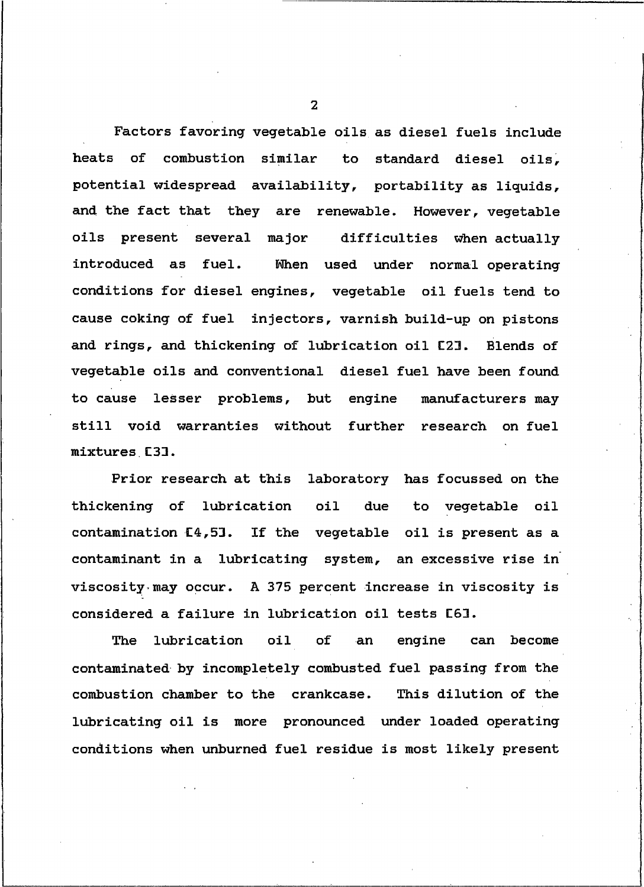Factors favoring vegetable oils as diesel fuels include heats of combustion similar to standard diesel oils. potential widespread availability, portability as liquids, and the fact that they are renewable. However, vegetable oils present several major difficulties when actually When used under normal operating introduced as fuel. conditions for diesel engines, vegetable oil fuels tend to cause coking of fuel injectors, varnish build-up on pistons and rings, and thickening of lubrication oil [2]. Blends of vegetable oils and conventional diesel fuel have been found to cause lesser problems, but engine manufacturers may still void warranties without further research on fuel mixtures [3].

Prior research at this laboratory has focussed on the thickening of lubrication  $0i1$ due to vegetable oil contamination [4,5]. If the vegetable oil is present as a contaminant in a lubricating system, an excessive rise in viscosity may occur. A 375 percent increase in viscosity is considered a failure in lubrication oil tests [6].

lubrication  $0i1$ of engine The an can become contaminated by incompletely combusted fuel passing from the This dilution of the combustion chamber to the crankcase. lubricating oil is more pronounced under loaded operating conditions when unburned fuel residue is most likely present

 $\overline{\mathbf{z}}$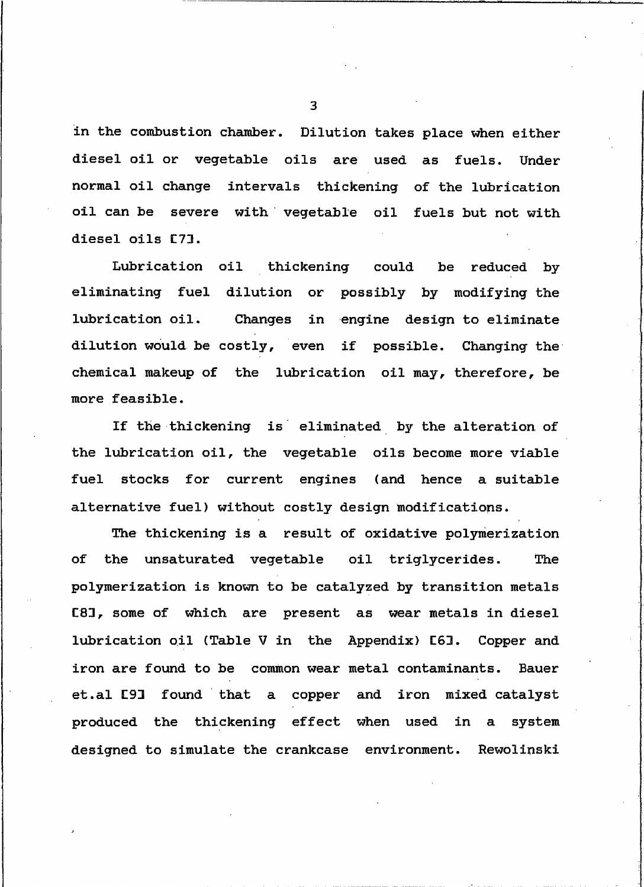in the combustion chamber. Dilution takes place when either diesel oil or vegetable oils are used as fuels. Under normal oil change intervals thickening of the lubrication oil can be severe with vegetable oil fuels but not with diesel oils [7].

Lubrication oil thickening could be reduced by eliminating fuel dilution or possibly by modifying the lubrication oil. Changes in engine design to eliminate dilution would be costly, even if possible. Changing the chemical makeup of the lubrication oil may, therefore, be more feasible.

If the thickening is eliminated by the alteration of the lubrication oil, the vegetable oils become more viable fuel stocks for current engines (and hence a suitable alternative fuel) without costly design modifications.

The thickening is a result of oxidative polymerization оf the unsaturated vegetable oil triglycerides. The polymerization is known to be catalyzed by transition metals [8], some of which are present as wear metals in diesel lubrication oil (Table V in the Appendix) [6]. Copper and iron are found to be common wear metal contaminants. Bauer et.al [9] found that a copper and iron mixed catalyst produced the thickening effect when used in a system designed to simulate the crankcase environment. Rewolinski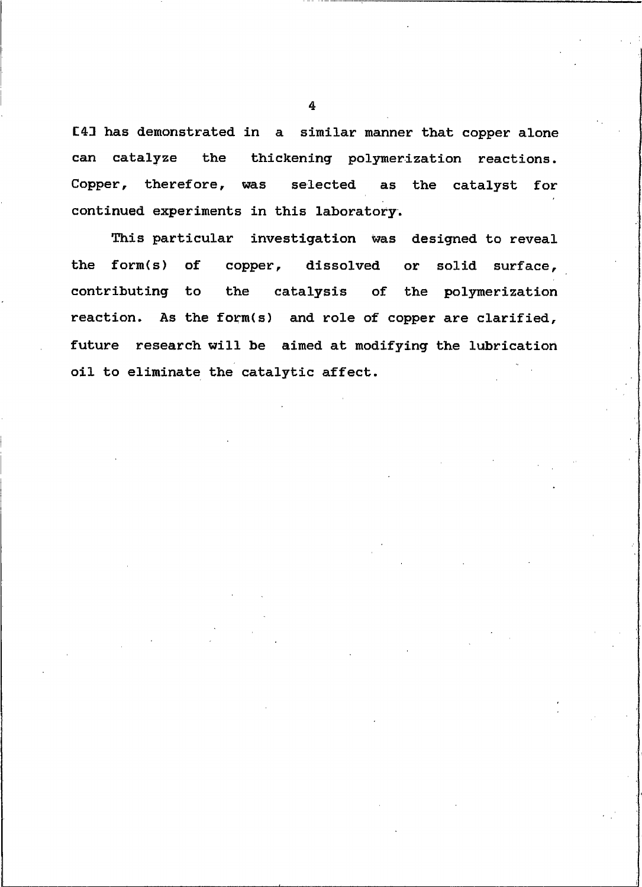[4] has demonstrated in a similar manner that copper alone can catalyze the thickening polymerization reactions. Copper, therefore, was selected as the catalyst for continued experiments in this laboratory.

This particular investigation was designed to reveal the form(s) of copper, dissolved solid surface. or contributing to the catalysis of the polymerization reaction. As the form(s) and role of copper are clarified, future research will be aimed at modifying the lubrication oil to eliminate the catalytic affect.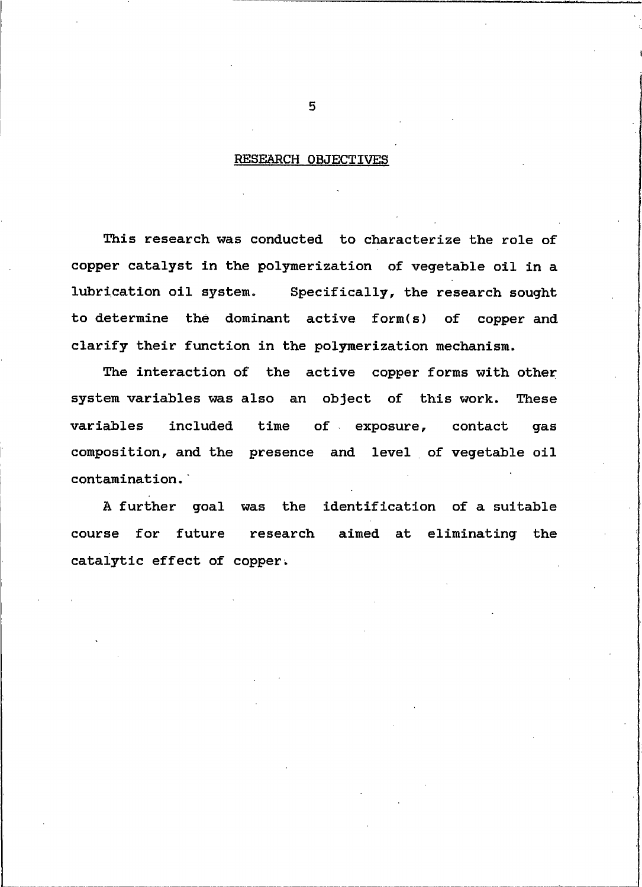#### <span id="page-13-0"></span>RESEARCH OBJECTIVES

This research was conducted to characterize the role of copper catalyst in the polymerization of vegetable oil in a lubrication oil system. Specifically, the research sought to determine the dominant active form(s) of copper and clarify their function in the polymerization mechanism.

The interaction of the active copper forms with other system variables was also an object of this work. These variables included of exposure, contact time gas composition, and the presence and level of vegetable oil contamination.

A further goal was the identification of a suitable course for future research aimed at eliminating the catalytic effect of copper.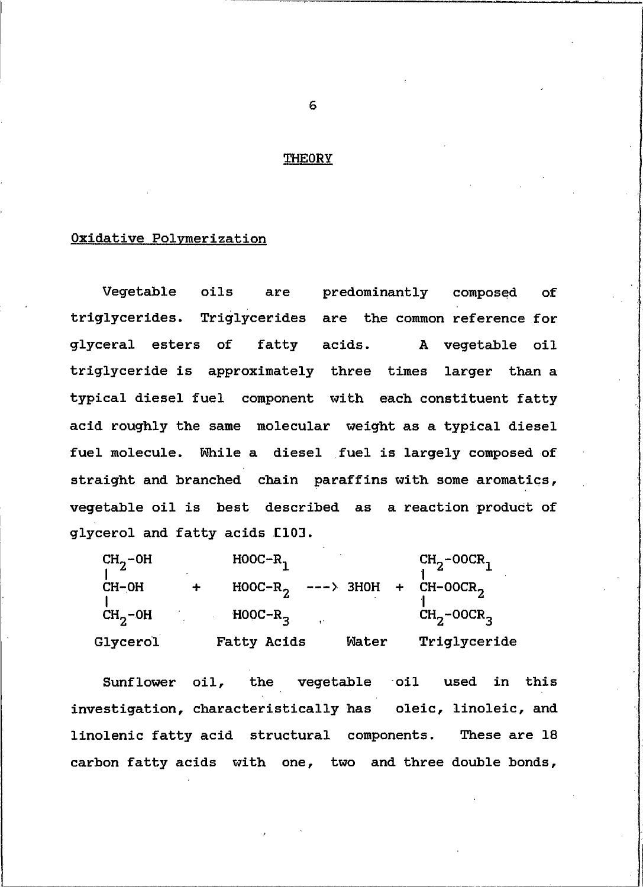#### <span id="page-14-0"></span>**THEORY**

#### Oxidative Polymerization

Vegetable oils are predominantly composed  $\Omega$ <sup> $\Gamma$ </sup> triglycerides. Triglycerides are the common reference for glyceral esters of fatty acids. A vegetable oil triglyceride is approximately three times larger than a typical diesel fuel component with each constituent fatty acid roughly the same molecular weight as a typical diesel fuel molecule. While a diesel fuel is largely composed of straight and branched chain paraffins with some aromatics, vegetable oil is best described as a reaction product of glycerol and fatty acids [10].

| $CH2$ -0H       |   | $HOOC-R$    |       | $CH2 - O OCR1$                              |
|-----------------|---|-------------|-------|---------------------------------------------|
| $CH-OH$         | ╈ |             |       | $H00C-R_2$ ---> 3H0H + CH-00CR <sub>2</sub> |
| $CH2$ -0H       |   | $H00C-R2$   |       | $CH2 - O OCR3$                              |
| <b>Glycerol</b> |   | Fatty Acids | Mater | Triglyceride                                |

the vegetable oil Sunflower oil, used in this investigation, characteristically has oleic, linoleic, and linolenic fatty acid structural components. These are 18 carbon fatty acids with one, two and three double bonds,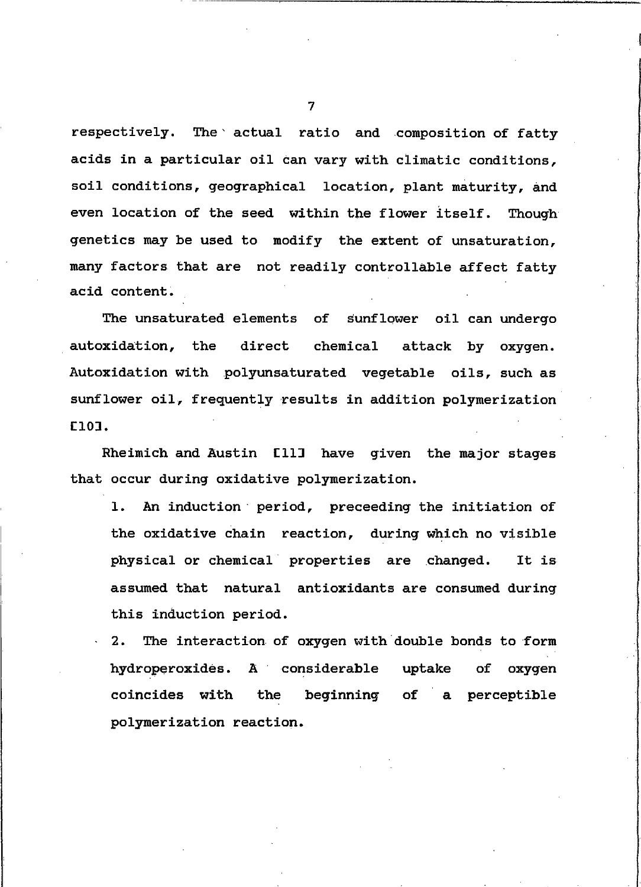respectively. The actual ratio and composition of fatty acids in a particular oil can vary with climatic conditions, soil conditions, geographical location, plant maturity, and even location of the seed within the flower itself. Though genetics may be used to modify the extent of unsaturation, many factors that are not readily controllable affect fatty acid content.

The unsaturated elements of sunflower oil can undergo direct autoxidation, the chemical attack by oxygen. Autoxidation with polyunsaturated vegetable oils, such as sunflower oil, frequently results in addition polymerization E101.

Rheimich and Austin [11] have given the major stages that occur during oxidative polymerization.

An induction period, preceeding the initiation of 1. the oxidative chain reaction, during which no visible physical or chemical properties are changed. It is assumed that natural antioxidants are consumed during this induction period.

The interaction of oxygen with double bonds to form  $2.$ hydroperoxides. A considerable uptake оf oxygen coincides with beginning the a perceptible оf polymerization reaction.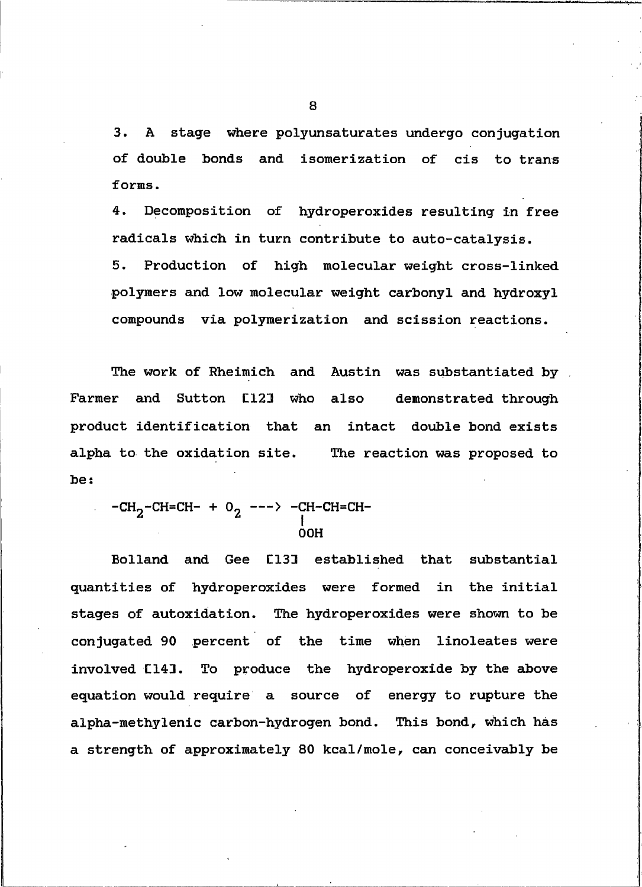stage where polyunsaturates undergo conjugation  $3.$  $\mathbf{A}$ of double bonds and isomerization of cis to trans forms.

 $4.$ Decomposition of hydroperoxides resulting in free radicals which in turn contribute to auto-catalysis.

Production of high molecular weight cross-linked 5. polymers and low molecular weight carbonyl and hydroxyl compounds via polymerization and scission reactions.

The work of Rheimich and Austin was substantiated by Farmer and Sutton [12] who also demonstrated through product identification that an intact double bond exists alpha to the oxidation site. The reaction was proposed to be:

 $-CH_2-CH=CH- + 0$ <sub>2</sub> ---> -CH-CH=CH-**OOH** 

Bolland and Gee [13] established that substantial quantities of hydroperoxides were formed in the initial stages of autoxidation. The hydroperoxides were shown to be conjugated 90 percent of the time when linoleates were To produce the hydroperoxide by the above involved [14]. equation would require a source of energy to rupture the alpha-methylenic carbon-hydrogen bond. This bond, which has a strength of approximately 80 kcal/mole, can conceivably be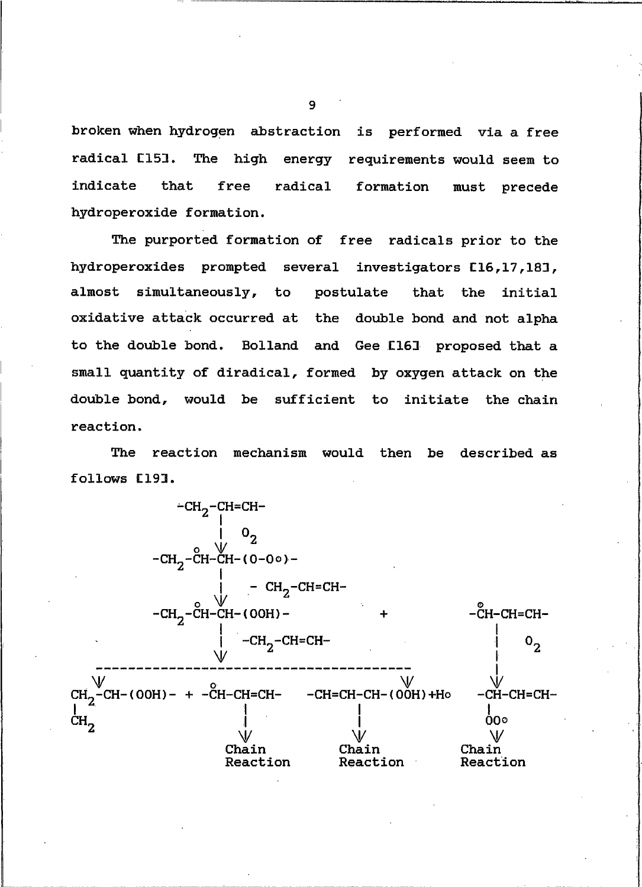broken when hydrogen abstraction is performed via a free radical [151. The high energy requirements would seem to indicate that free radical formation must precede hydroperoxide formation.

The purported formation of free radicals prior to the hydroperoxides prompted several investigators [16,17,18], almost simultaneously, to postulate the initial that oxidative attack occurred at the double bond and not alpha to the double bond. Bolland and Gee [16] proposed that a small quantity of diradical, formed by oxygen attack on the double bond, would be sufficient to initiate the chain reaction.

The reaction mechanism would then be described as follows [19].

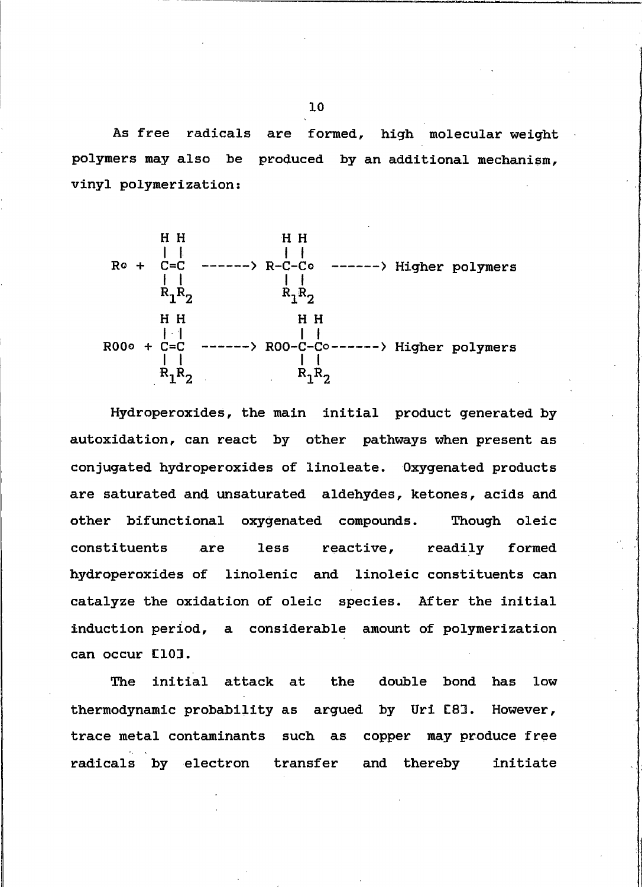As free radicals are formed, high molecular weight polymers may also be produced by an additional mechanism, vinyl polymerization:



Hydroperoxides, the main initial product generated by autoxidation, can react by other pathways when present as conjugated hydroperoxides of linoleate. Oxygenated products are saturated and unsaturated aldehydes, ketones, acids and Though oleic other bifunctional oxygenated compounds. constituents are less reactive, readily formed hydroperoxides of linolenic and linoleic constituents can catalyze the oxidation of oleic species. After the initial induction period, a considerable amount of polymerization can occur [10].

The initial attack at the double bond has low thermodynamic probability as argued by Uri [8]. However, trace metal contaminants such as copper may produce free radicals by electron transfer and thereby initiate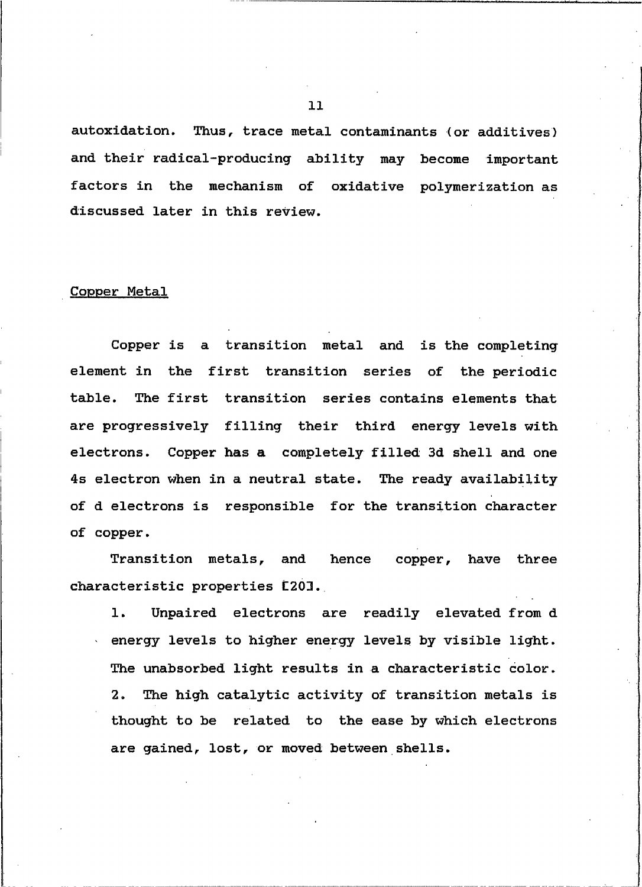autoxidation. Thus, trace metal contaminants (or additives) and their radical-producing ability may become important factors in the mechanism of oxidative polymerization as discussed later in this review.

#### Copper Metal

Copper is a transition metal and is the completing element in the first transition series of the periodic table. The first transition series contains elements that are progressively filling their third energy levels with electrons. Copper has a completely filled 3d shell and one 4s electron when in a neutral state. The ready availability of d electrons is responsible for the transition character of copper.

Transition metals, and hence copper, have three characteristic properties [20].

 $\mathbf{1}$ . Unpaired electrons are readily elevated from d energy levels to higher energy levels by visible light. The unabsorbed light results in a characteristic color. The high catalytic activity of transition metals is  $2.$ thought to be related to the ease by which electrons are gained, lost, or moved between shells.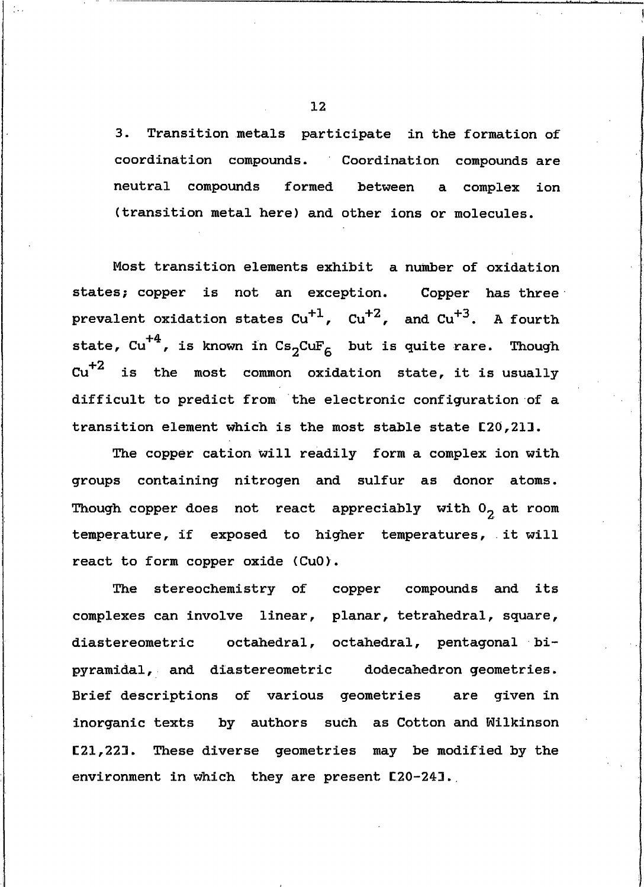3. Transition metals participate in the formation of coordination compounds. Coordination compounds are neutral compounds formed between a complex ion (transition metal here) and other ions or molecules.

Most transition elements exhibit a number of oxidation states; copper is not an exception. Copper has three prevalent oxidation states  $Cu^{+1}$ ,  $Cu^{+2}$ , and  $Cu^{+3}$ . A fourth state,  $cu^{+4}$ , is known in  $Cs_2CuF_6$  but is quite rare. Though  $cu^{+2}$  is the most common oxidation state, it is usually difficult to predict from the electronic configuration of a transition element which is the most stable state [20,21].

The copper cation will readily form a complex ion with groups containing nitrogen and sulfur as donor atoms. Though copper does not react appreciably with  $0<sub>2</sub>$  at room temperature, if exposed to higher temperatures, it will react to form copper oxide (CuO).

The stereochemistry of copper compounds and its complexes can involve linear, planar, tetrahedral, square, diastereometric octahedral, octahedral, pentagonal bipyramidal, and diastereometric dodecahedron geometries. Brief descriptions of various geometries are given in inorganic texts by authors such as Cotton and Wilkinson [21,221. These diverse geometries may be modified by the environment in which they are present [20-24].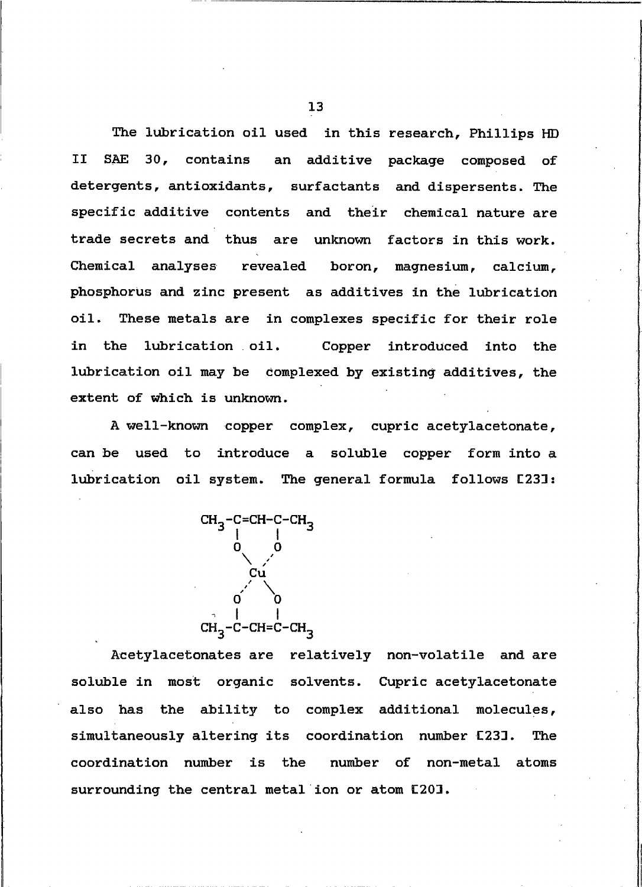The lubrication oil used in this research, Phillips HD SAE 30, contains an additive package composed of II detergents, antioxidants, surfactants and dispersents. The specific additive contents and their chemical nature are trade secrets and thus are unknown factors in this work. Chemical analyses revealed boron, magnesium, calcium, phosphorus and zinc present as additives in the lubrication oil. These metals are in complexes specific for their role in the lubrication oil. Copper introduced into the lubrication oil may be complexed by existing additives, the extent of which is unknown.

A well-known copper complex, cupric acetylacetonate, can be used to introduce a soluble copper form into a lubrication oil system. The general formula follows [23]:

<span id="page-21-0"></span>

Acetylacetonates are relatively non-volatile and are soluble in most organic solvents. Cupric acetylacetonate also has the ability to complex additional molecules, simultaneously altering its coordination number [23]. The coordination number is the number of non-metal atoms surrounding the central metal ion or atom [20].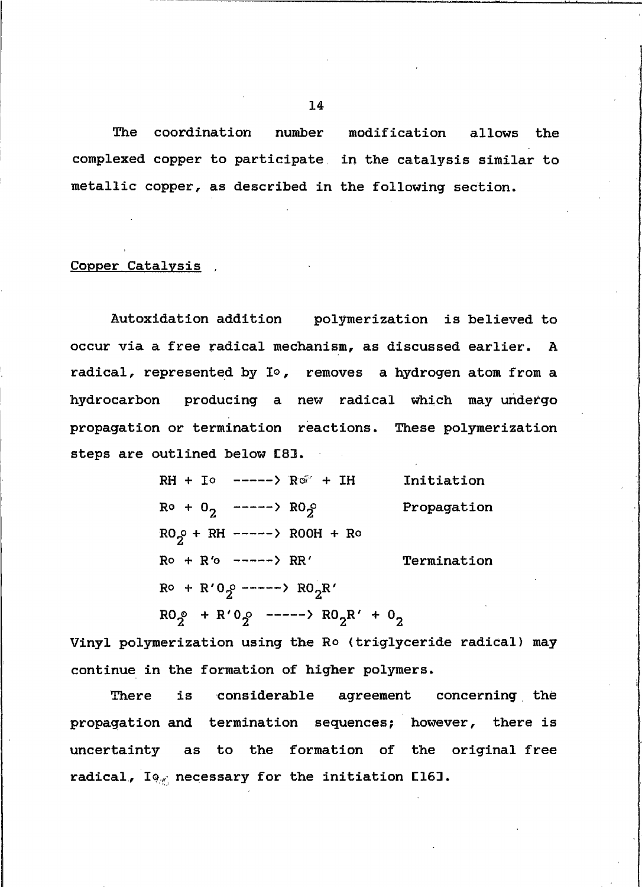The coordination number modification allows the complexed copper to participate in the catalysis similar to metallic copper, as described in the following section.

#### Copper Catalysis

Autoxidation addition polymerization is believed to occur via a free radical mechanism, as discussed earlier. A radical, represented by I°, removes a hydrogen atom from a hydrocarbon producing a new radical which may undergo propagation or termination reactions. These polymerization steps are outlined below [8].

| RH + Io -----> Ro + IH                                             | Initiation  |
|--------------------------------------------------------------------|-------------|
| $R^o + 0$ <sub>2</sub> -----> $R0_2^o$                             | Propagation |
| RO <sub>2</sub> + RH -----> ROOH + Ro                              |             |
| $R^{\circ}$ + $R^{\prime}$ -----> $RR^{\prime}$                    | Termination |
| $R^{\circ}$ + R'0. -----> RO <sub>2</sub> R'                       |             |
| $R0_{\gamma}$ + $R'0_{\gamma}$ -----> $R0_{\gamma}R' + 0_{\gamma}$ |             |

Vinyl polymerization using the Ro (triglyceride radical) may continue in the formation of higher polymers.

There is considerable agreement concerning the propagation and termination sequences; however, there is uncertainty as to the formation of the original free radical,  $I_{\mathcal{P}_{\mathcal{F}}}$  necessary for the initiation  $E161$ .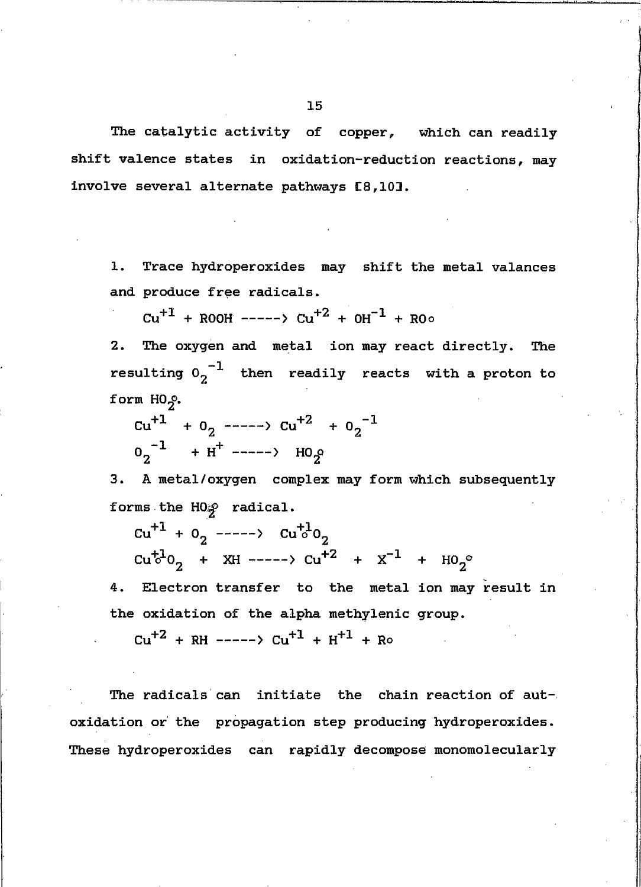The catalytic activity of copper, which can readily shift valence states in oxidation-reduction reactions, may involve several alternate pathways [8,10].

1. Trace hydroperoxides may shift the metal valances and produce free radicals.

 $Cu^{+1}$  + ROOH ----->  $Cu^{+2}$  +  $OH^{-1}$  + ROo

 $2.$ The oxygen and metal ion may react directly. The resulting  $0.5^{-1}$  then readily reacts with a proton to form HO<sub>2</sub>.

 $cu^{+1}$  + 0<sub>2</sub> ----->  $cu^{+2}$  + 0<sub>2</sub><sup>-1</sup>  $0^{2}$  + H<sup>+</sup> -----> HO<sub>2</sub>

3. A metal/oxygen complex may form which subsequently forms the HO<sub>2</sub> radical.

 $cu^{+1} + 0$ <sub>2</sub> ----->  $cu^{+1}0$ <sub>2</sub>  $Cu<sup>+1</sup>0<sub>2</sub>$  + XH ----->  $Cu<sup>+2</sup>$  +  $X<sup>-1</sup>$  +  $HO<sub>2</sub>°$ 

4. Electron transfer to the metal ion may result in the oxidation of the alpha methylenic group.

 $Cu^{+2}$  + RH ----->  $Cu^{+1}$  + H<sup>+1</sup> + Ro

The radicals can initiate the chain reaction of autoxidation or the propagation step producing hydroperoxides. These hydroperoxides can rapidly decompose monomolecularly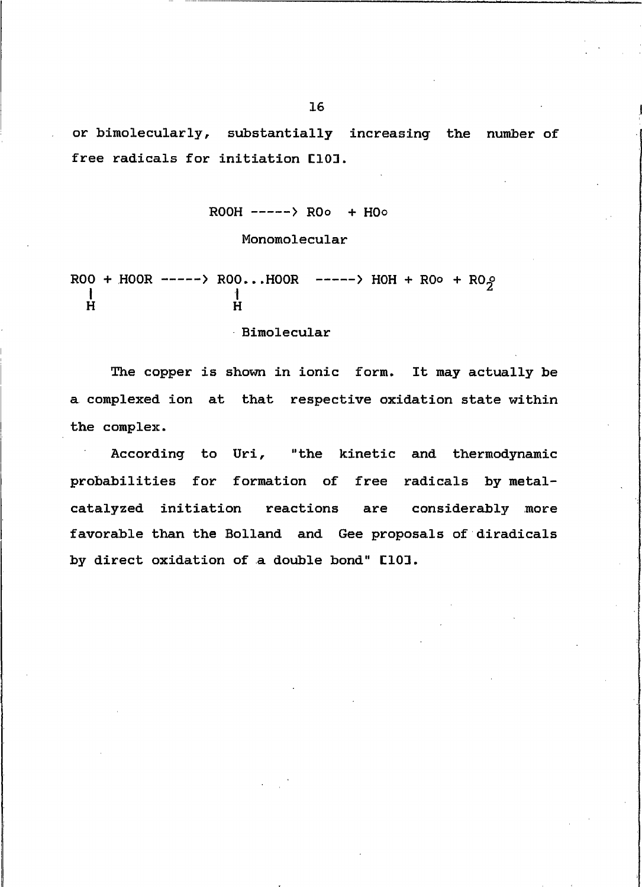or bimolecularly, substantially increasing the number of free radicals for initiation [10].

## Monomolecular

 $ROO + HOOR$  ----->  $ROO...HOR$  ----->  $HOH + ROO + ROO$ Ĥ  $\mathbf{H}$ 

Bimolecular

The copper is shown in ionic form. It may actually be a complexed ion at that respective oxidation state within the complex.

According to Uri, "the kinetic and thermodynamic probabilities for formation of free radicals by metalcatalyzed initiation reactions are considerably more favorable than the Bolland and Gee proposals of diradicals by direct oxidation of a double bond" [10].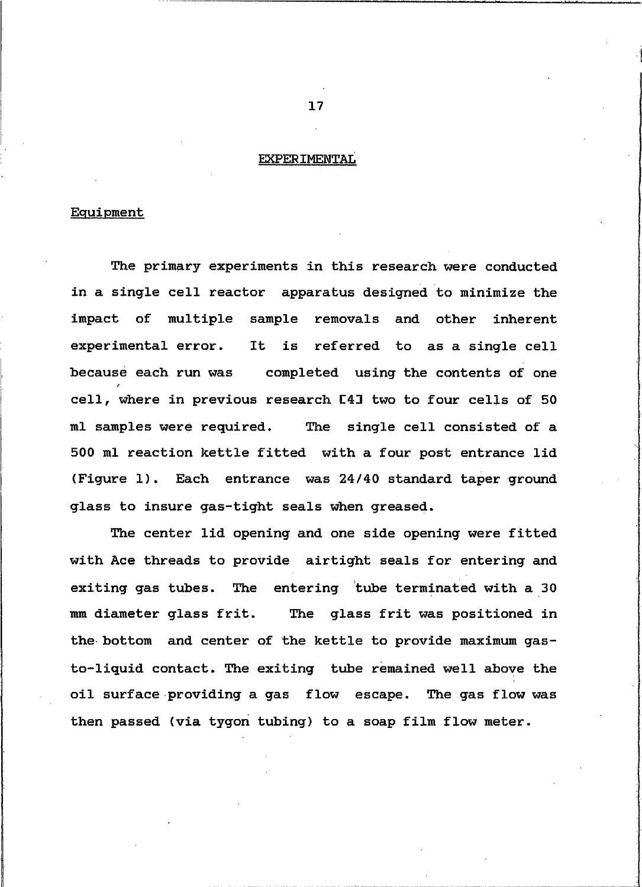#### <span id="page-25-0"></span>**EXPERIMENTAL**

#### Equipment

The primary experiments in this research were conducted in a single cell reactor apparatus designed to minimize the impact of multiple sample removals and other inherent experimental error. It is referred to as a single cell becausé each run was completed using the contents of one cell, where in previous research [4] two to four cells of 50 ml samples were required. The single cell consisted of a 500 ml reaction kettle fitted with a four post entrance lid (Figure 1). Each entrance was 24/40 standard taper ground glass to insure gas-tight seals when greased.

The center lid opening and one side opening were fitted with Ace threads to provide airtight seals for entering and exiting gas tubes. The entering tube terminated with a 30 mm diameter glass frit. The glass frit was positioned in the bottom and center of the kettle to provide maximum gasto-liquid contact. The exiting tube remained well above the oil surface providing a gas flow escape. The gas flow was then passed (via tygon tubing) to a soap film flow meter.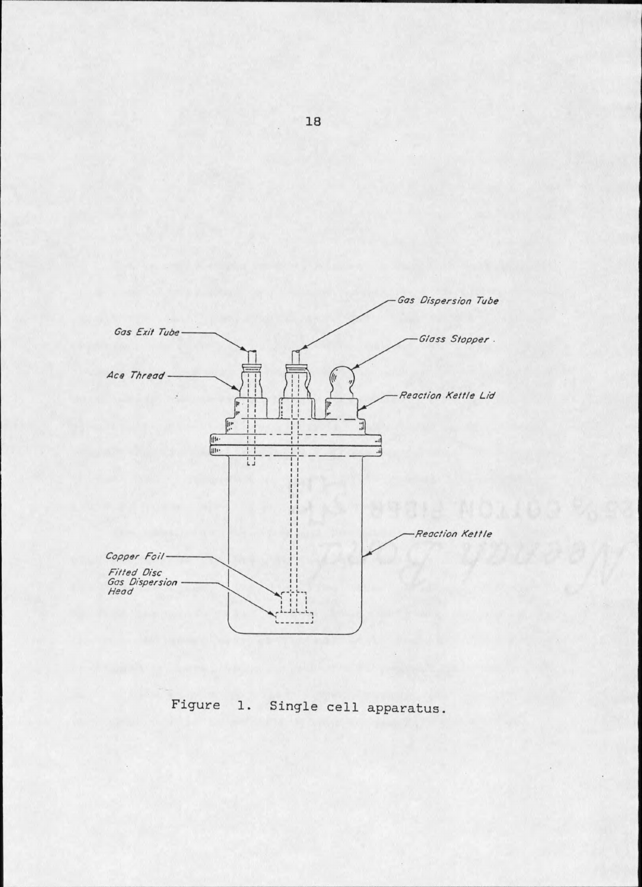

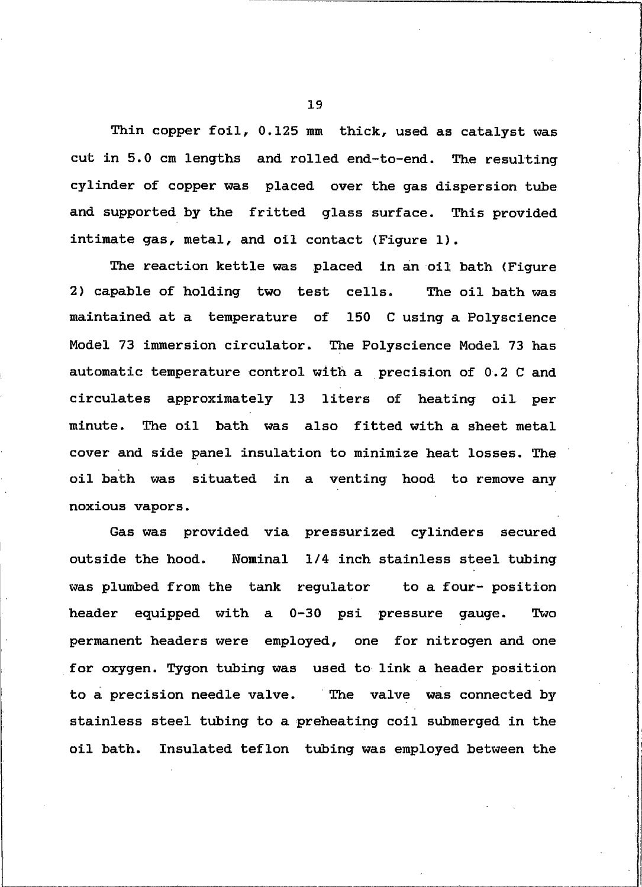Thin copper foil, 0.125 mm thick, used as catalyst was cut in 5.0 cm lengths and rolled end-to-end. The resulting cylinder of copper was placed over the gas dispersion tube and supported by the fritted glass surface. This provided intimate gas, metal, and oil contact (Figure 1).

The reaction kettle was placed in an oil bath (Figure 2) capable of holding two test cells. The oil bath was maintained at a temperature of 150 C using a Polyscience Model 73 immersion circulator. The Polyscience Model 73 has automatic temperature control with a precision of 0.2 C and circulates approximately 13 liters of heating oil per The oil bath was also fitted with a sheet metal minute. cover and side panel insulation to minimize heat losses. The oil bath was situated in a venting hood to remove any noxious vapors.

Gas was provided via pressurized cylinders secured Nominal 1/4 inch stainless steel tubing outside the hood. was plumbed from the tank regulator to a four- position header equipped with a 0-30 psi pressure gauge. Two permanent headers were employed, one for nitrogen and one for oxygen. Tygon tubing was used to link a header position to a precision needle valve. The valve was connected by stainless steel tubing to a preheating coil submerged in the oil bath. Insulated teflon tubing was employed between the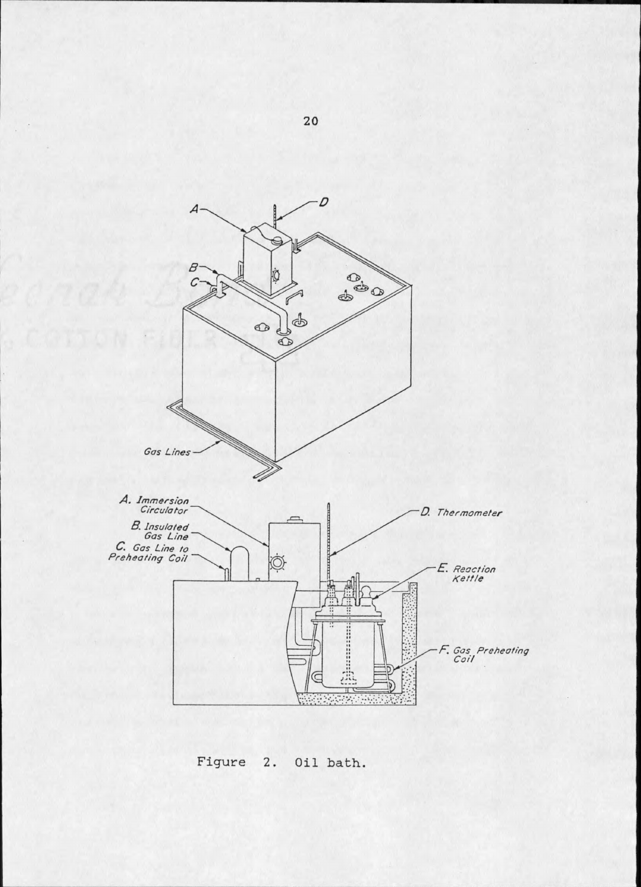

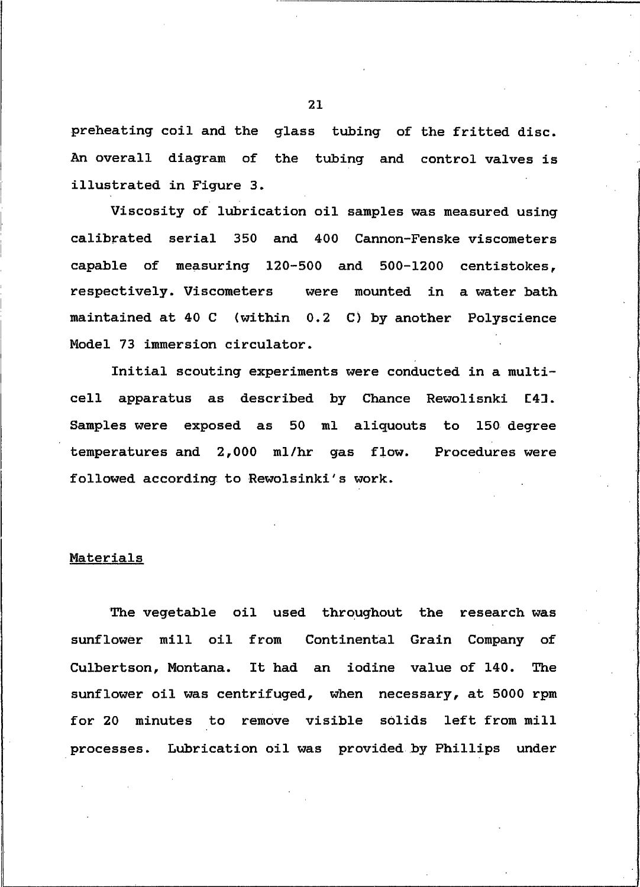preheating coil and the glass tubing of the fritted disc. An overall diagram of the tubing and control valves is illustrated in Figure 3.

Viscosity of lubrication oil samples was measured using calibrated serial 350 and 400 Cannon-Fenske viscometers capable of measuring 120-500 and 500-1200 centistokes, respectively. Viscometers were mounted in a water bath maintained at 40 C (within 0.2 C) by another Polyscience Model 73 immersion circulator.

Initial scouting experiments were conducted in a multicell apparatus as described by Chance Rewolisnki **E43.** Samples were exposed as 50 ml aliquouts to 150 degree temperatures and 2,000 ml/hr gas flow. Procedures were followed according to Rewolsinki's work.

#### Materials

The vegetable oil used throughout the research was sunflower mill oil from Continental Grain Company of Culbertson, Montana. It had an iodine value of 140. The sunflower oil was centrifuged, when necessary, at 5000 rpm for 20 minutes to remove visible solids left from mill processes. Lubrication oil was provided by Phillips under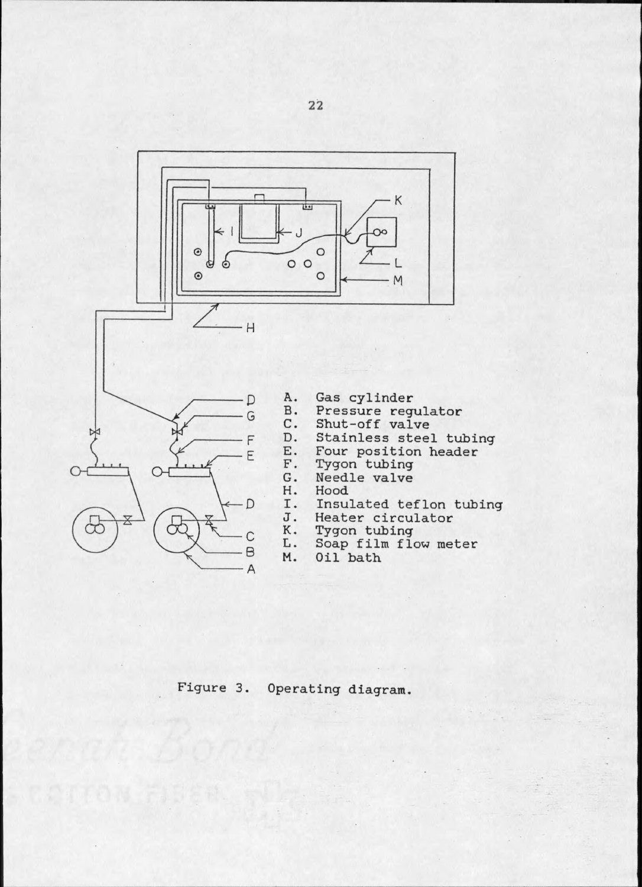

Figure 3. Operating diagram.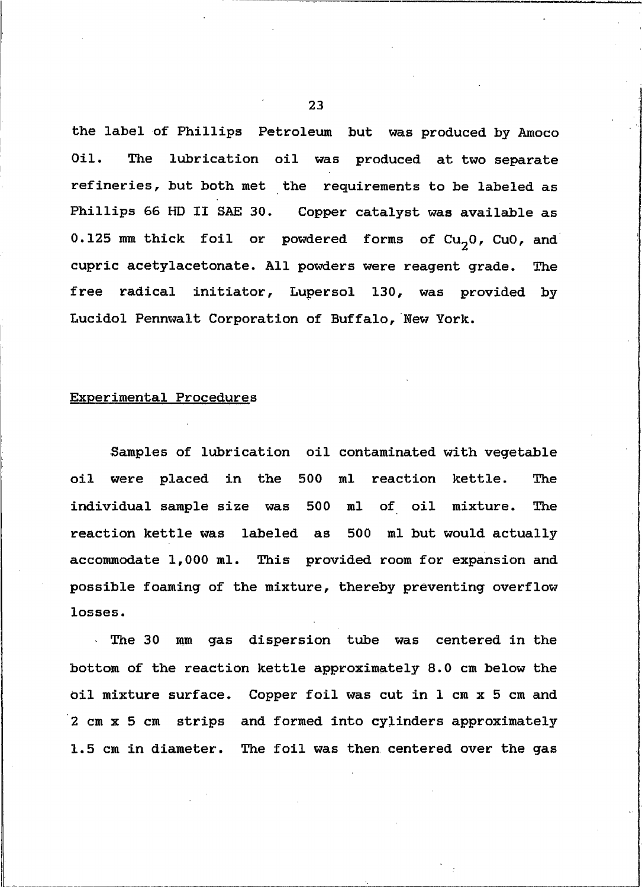the label of Phillips Petroleum but was produced by Amoco The lubrication oil was produced at two separate  $0i1.$ refineries, but both met the requirements to be labeled as Phillips 66 HD II SAE 30. Copper catalyst was available as 0.125 mm thick foil or powdered forms of  $Cu_{2}0$ ,  $Cu0$ , and cupric acetylacetonate. All powders were reagent grade. The free radical initiator, Lupersol 130, was provided by Lucidol Pennwalt Corporation of Buffalo, New York.

#### Experimental Procedures

Samples of lubrication oil contaminated with vegetable oil were placed in the 500 ml reaction kettle. **The** individual sample size was 500 ml of oil mixture. The reaction kettle was labeled as 500 ml but would actually accommodate 1,000 ml. This provided room for expansion and possible foaming of the mixture, thereby preventing overflow losses.

The 30 mm gas dispersion tube was centered in the bottom of the reaction kettle approximately 8.0 cm below the oil mixture surface. Copper foil was cut in 1 cm x 5 cm and 2 cm x 5 cm strips and formed into cylinders approximately 1.5 cm in diameter. The foil was then centered over the gas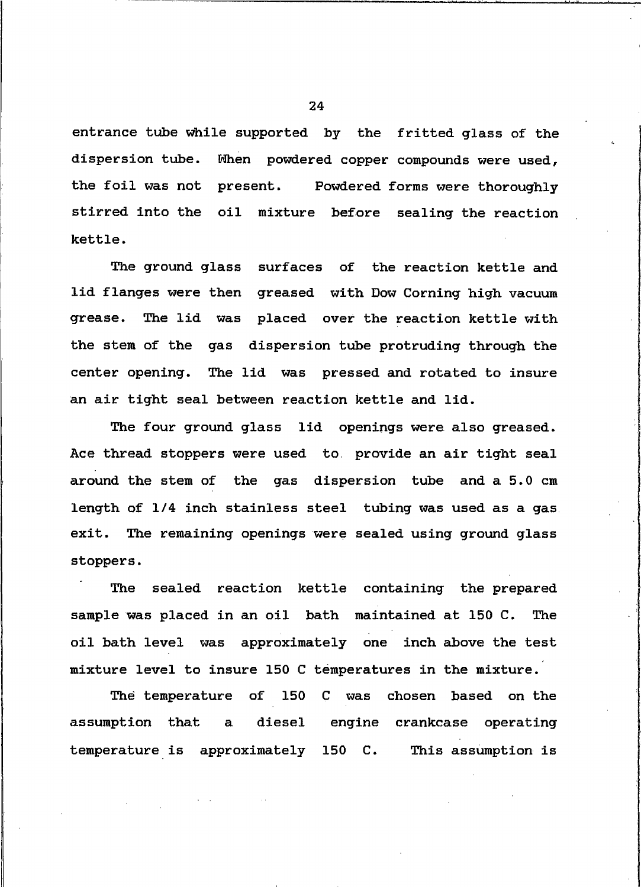entrance tube while supported by the fritted glass of the dispersion tube. When powdered copper compounds were used, the foil was not present. Powdered forms were thoroughly stirred into the oil mixture before sealing the reaction kettle.

The ground glass surfaces of the reaction kettle and lid flanges were then greased with Dow Corning high vacuum grease. The lid was placed over the reaction kettle with the stem of the gas dispersion tube protruding through the center opening. The lid was pressed and rotated to insure an air tight seal between reaction kettle and lid.

The four ground glass lid openings were also greased. Ace thread stoppers were used to provide an air tight seal around the stem of the gas dispersion tube and a 5.0 cm length of 1/4 inch stainless steel tubing was used as a gas. exit. The remaining openings were sealed using ground glass stoppers.

sealed reaction kettle containing the prepared The sample was placed in an oil bath maintained at 150 C. **The** oil bath level was approximately one inch above the test mixture level to insure 150 C temperatures in the mixture.

The temperature of 150 C was chosen based on the assumption that  $\mathbf{a}$ diesel engine crankcase operating temperature is approximately 150 C. This assumption is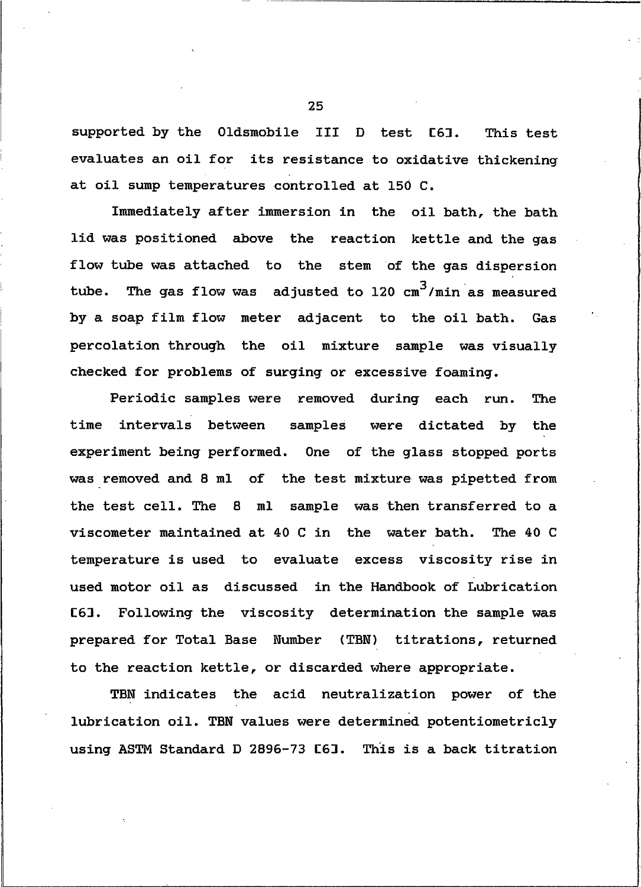supported by the Oldsmobile III D test [6]. This test evaluates an oil for its resistance to oxidative thickening at oil sump temperatures controlled at 150 C.

Immediately after immersion in the oil bath, the bath lid was positioned above the reaction kettle and the gas flow tube was attached to the stem of the gas dispersion The gas flow was adjusted to 120  $cm^3/m$ in as measured tube. by a soap film flow meter adjacent to the oil bath. Gas percolation through the oil mixture sample was visually checked for problems of surging or excessive foaming.

Periodic samples were removed during each run. The time intervals between samples were dictated by the experiment being performed. One of the glass stopped ports was removed and 8 ml of the test mixture was pipetted from the test cell. The 8 ml sample was then transferred to a viscometer maintained at 40 C in the water bath. The 40 C temperature is used to evaluate excess viscosity rise in used motor oil as discussed in the Handbook of Lubrication C63. Following the viscosity determination the sample was prepared for Total Base Number (TBN) titrations, returned to the reaction kettle, or discarded where appropriate.

TBN indicates the acid neutralization power of the lubrication oil. TBN values were determined potentiometricly using ASTM Standard D 2896-73 [6]. This is a back titration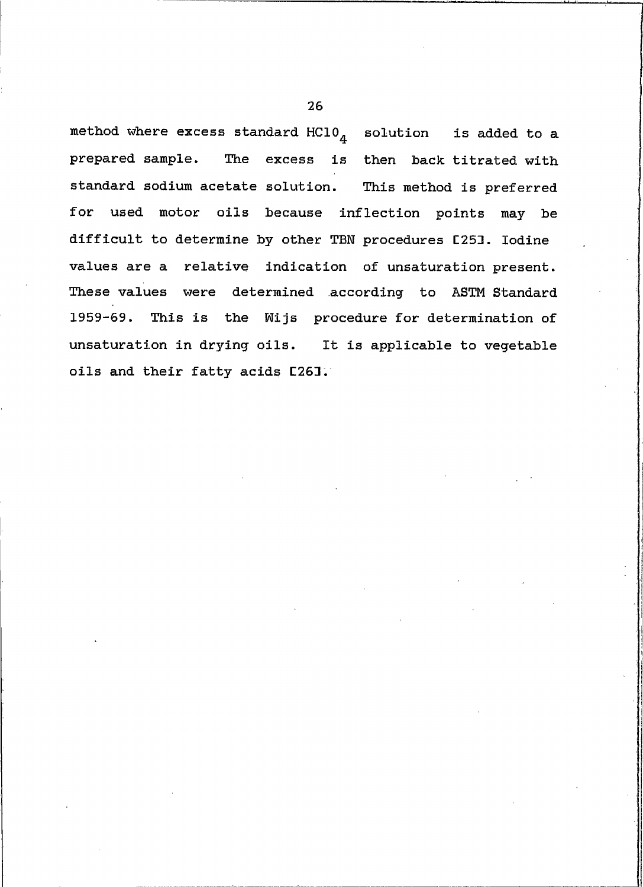method where excess standard  $HCD_4$  solution is added to a prepared sample. The excess is then back titrated with standard sodium acetate solution. This method is preferred for used motor oils because inflection points may be difficult to determine by other TBN procedures [25]. Iodine values are a relative indication of unsaturation present. These values were determined according to ASTM Standard 1959-69. This is the Wijs procedure for determination of unsaturation in drying oils. It is applicable to vegetable oils and their fatty acids [26].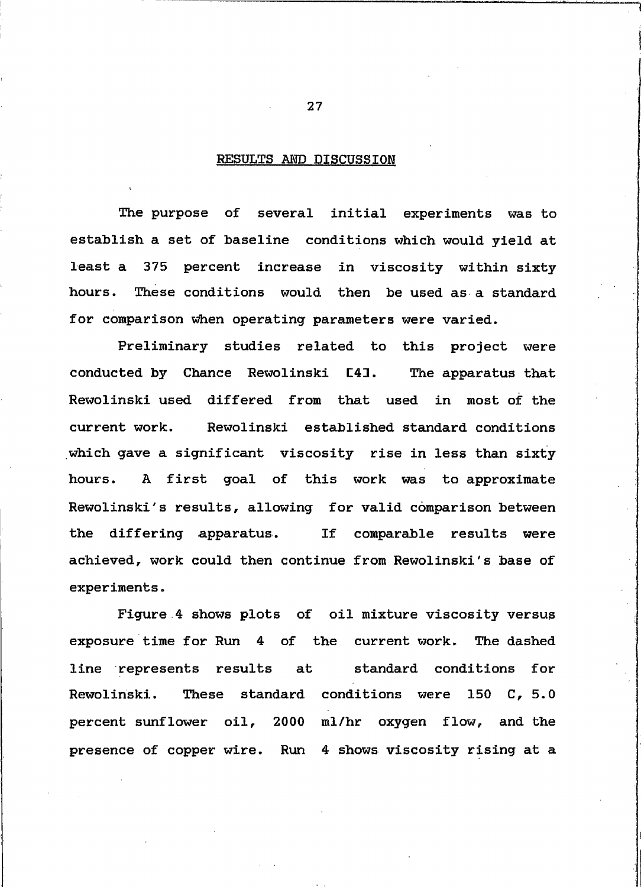#### <span id="page-35-0"></span>RESULTS AND DISCUSSION

The purpose of several initial experiments was to establish a set of baseline conditions which would yield at least a 375 percent increase in viscosity within sixty These conditions would then be used as a standard hours. for comparison when operating parameters were varied.

Preliminary studies related to this project were conducted by Chance Rewolinski [4]. The apparatus that Rewolinski used differed from that used in most of the current work. Rewolinski established standard conditions which gave a significant viscosity rise in less than sixty A first goal of this work was to approximate hours. Rewolinski's results, allowing for valid comparison between the differing apparatus. If comparable results were achieved, work could then continue from Rewolinski's base of experiments.

Figure 4 shows plots of oil mixture viscosity versus exposure time for Run 4 of the current work. The dashed standard conditions for line represents results at These standard conditions were 150 C, 5.0 Rewolinski. percent sunflower oil, 2000 ml/hr oxygen flow, and the presence of copper wire. Run 4 shows viscosity rising at a